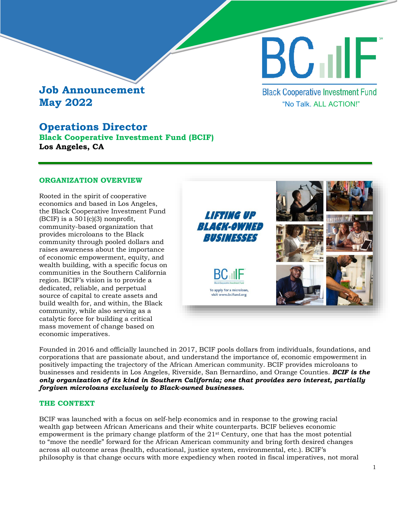# **Job Announcement May 2022**

## **Operations Director**

**Black Cooperative Investment Fund (BCIF) Los Angeles, CA**

## **ORGANIZATION OVERVIEW**

Rooted in the spirit of cooperative economics and based in Los Angeles, the Black Cooperative Investment Fund (BCIF) is a  $501(c)(3)$  nonprofit, community-based organization that provides microloans to the Black community through pooled dollars and raises awareness about the importance of economic empowerment, equity, and wealth building, with a specific focus on communities in the Southern California region. BCIF's vision is to provide a dedicated, reliable, and perpetual source of capital to create assets and build wealth for, and within, the Black community, while also serving as a catalytic force for building a critical mass movement of change based on economic imperatives.



"No Talk. ALL ACTION!"

**Black Cooperative Investment Fund** 

**BC TILE** 

Founded in 2016 and officially launched in 2017, BCIF pools dollars from individuals, foundations, and corporations that are passionate about, and understand the importance of, economic empowerment in positively impacting the trajectory of the African American community. BCIF provides microloans to businesses and residents in Los Angeles, Riverside, San Bernardino, and Orange Counties. *BCIF is the only organization of its kind in Southern California; one that provides zero interest, partially forgiven microloans exclusively to Black-owned businesses.* 

## **THE CONTEXT**

BCIF was launched with a focus on self-help economics and in response to the growing racial wealth gap between African Americans and their white counterparts. BCIF believes economic empowerment is the primary change platform of the  $21<sup>st</sup>$  Century, one that has the most potential to "move the needle" forward for the African American community and bring forth desired changes across all outcome areas (health, educational, justice system, environmental, etc.). BCIF's philosophy is that change occurs with more expediency when rooted in fiscal imperatives, not moral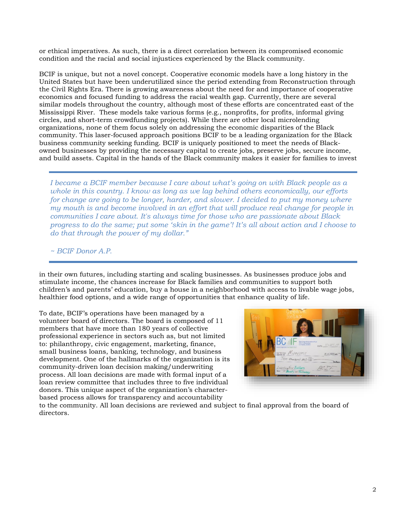or ethical imperatives. As such, there is a direct correlation between its compromised economic condition and the racial and social injustices experienced by the Black community.

BCIF is unique, but not a novel concept. Cooperative economic models have a long history in the United States but have been underutilized since the period extending from Reconstruction through the Civil Rights Era. There is growing awareness about the need for and importance of cooperative economics and focused funding to address the racial wealth gap. Currently, there are several similar models throughout the country, although most of these efforts are concentrated east of the Mississippi River. These models take various forms (e.g., nonprofits, for profits, informal giving circles, and short-term crowdfunding projects). While there are other local microlending organizations, none of them focus solely on addressing the economic disparities of the Black community. This laser-focused approach positions BCIF to be a leading organization for the Black business community seeking funding. BCIF is uniquely positioned to meet the needs of Blackowned businesses by providing the necessary capital to create jobs, preserve jobs, secure income, and build assets. Capital in the hands of the Black community makes it easier for families to invest

*I became a BCIF member because I care about what's going on with Black people as a whole in this country. I know as long as we lag behind others economically, our efforts for change are going to be longer, harder, and slower. I decided to put my money where my mouth is and become involved in an effort that will produce real change for people in communities I care about. It's always time for those who are passionate about Black progress to do the same; put some 'skin in the game'! It's all about action and I choose to do that through the power of my dollar."* 

*~ BCIF Donor A.P.*

in their own futures, including starting and scaling businesses. As businesses produce jobs and stimulate income, the chances increase for Black families and communities to support both children's and parents' education, buy a house in a neighborhood with access to livable wage jobs, healthier food options, and a wide range of opportunities that enhance quality of life.

To date, BCIF's operations have been managed by a volunteer board of directors. The board is composed of 11 members that have more than 180 years of collective professional experience in sectors such as, but not limited to: philanthropy, civic engagement, marketing, finance, small business loans, banking, technology, and business development. One of the hallmarks of the organization is its community-driven loan decision making/underwriting process. All loan decisions are made with formal input of a loan review committee that includes three to five individual donors. This unique aspect of the organization's characterbased process allows for transparency and accountability



to the community. All loan decisions are reviewed and subject to final approval from the board of directors.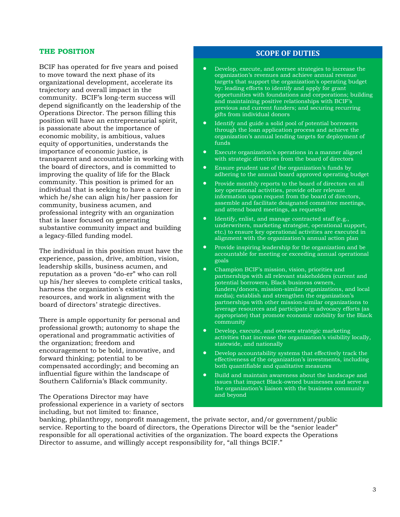#### **THE POSITION**

BCIF has operated for five years and poised to move toward the next phase of its organizational development, accelerate its trajectory and overall impact in the community. BCIF's long-term success will depend significantly on the leadership of the Operations Director. The person filling this position will have an entrepreneurial spirit, is passionate about the importance of economic mobility, is ambitious, values equity of opportunities, understands the importance of economic justice, is transparent and accountable in working with the board of directors, and is committed to improving the quality of life for the Black community. This position is primed for an individual that is seeking to have a career in which he/she can align his/her passion for community, business acumen, and professional integrity with an organization that is laser focused on generating substantive community impact and building a legacy-filled funding model.

The individual in this position must have the experience, passion, drive, ambition, vision, leadership skills, business acumen, and reputation as a proven "do-er" who can roll up his/her sleeves to complete critical tasks, harness the organization's existing resources, and work in alignment with the board of directors' strategic directives.

There is ample opportunity for personal and professional growth; autonomy to shape the operational and programmatic activities of the organization; freedom and encouragement to be bold, innovative, and forward thinking; potential to be compensated accordingly; and becoming an influential figure within the landscape of Southern California's Black community.

The Operations Director may have professional experience in a variety of sectors including, but not limited to: finance,

## **SCOPE OF DUTIES**

- Develop, execute, and oversee strategies to increase the organization's revenues and achieve annual revenue targets that support the organization's operating budget by: leading efforts to identify and apply for grant opportunities with foundations and corporations; building and maintaining positive relationships with BCIF's previous and current funders; and securing recurring gifts from individual donors
- Identify and guide a solid pool of potential borrowers through the loan application process and achieve the organization's annual lending targets for deployment of funds
- Execute organization's operations in a manner aligned with strategic directives from the board of directors
- Ensure prudent use of the organization's funds by adhering to the annual board approved operating budget
- Provide monthly reports to the board of directors on all key operational activities, provide other relevant information upon request from the board of directors, assemble and facilitate designated committee meetings, and attend board meetings, as requested
- Identify, enlist, and manage contracted staff (e.g., underwriters, marketing strategist, operational support, etc.) to ensure key operational activities are executed in alignment with the organization's annual action plan
- Provide inspiring leadership for the organization and be accountable for meeting or exceeding annual operational goals
- Champion BCIF's mission, vision, priorities and partnerships with all relevant stakeholders (current and potential borrowers, Black business owners, funders/donors, mission-similar organizations, and local media); establish and strengthen the organization's partnerships with other mission-similar organizations to leverage resources and participate in advocacy efforts (as appropriate) that promote economic mobility for the Black community
- Develop, execute, and oversee strategic marketing activities that increase the organization's visibility locally, statewide, and nationally
- Develop accountability systems that effectively track the effectiveness of the organization's investments, including both quantifiable and qualitative measures
- Build and maintain awareness about the landscape and issues that impact Black-owned businesses and serve as the organization's liaison with the business community and beyond

banking, philanthropy, nonprofit management, the private sector, and/or government/public service. Reporting to the board of directors, the Operations Director will be the "senior leader" responsible for all operational activities of the organization. The board expects the Operations Director to assume, and willingly accept responsibility for, "all things BCIF."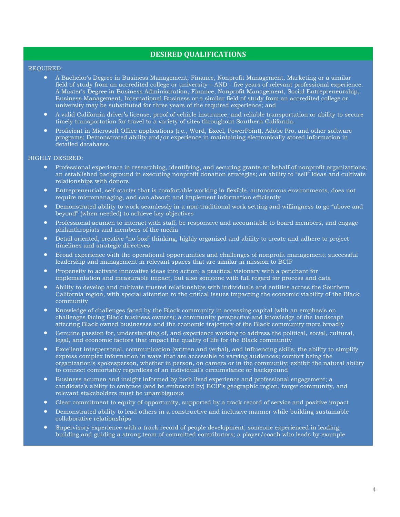## **DESIRED QUALIFICATIONS**

#### REQUIRED:

- A Bachelor's Degree in Business Management, Finance, Nonprofit Management, Marketing or a similar field of study from an accredited college or university – AND - five years of relevant professional experience. A Master's Degree in Business Administration, Finance, Nonprofit Management, Social Entrepreneurship, Business Management, International Business or a similar field of study from an accredited college or university may be substituted for three years of the required experience; and
- A valid California driver's license, proof of vehicle insurance, and reliable transportation or ability to secure timely transportation for travel to a variety of sites throughout Southern California.
- Proficient in Microsoft Office applications (i.e., Word, Excel, PowerPoint), Adobe Pro, and other software programs; Demonstrated ability and/or experience in maintaining electronically stored information in detailed databases

#### HIGHLY DESIRED:

- Professional experience in researching, identifying, and securing grants on behalf of nonprofit organizations; an established background in executing nonprofit donation strategies; an ability to "sell" ideas and cultivate relationships with donors
- Entrepreneurial, self-starter that is comfortable working in flexible, autonomous environments, does not require micromanaging, and can absorb and implement information efficiently
- Demonstrated ability to work seamlessly in a non-traditional work setting and willingness to go "above and beyond" (when needed) to achieve key objectives
- Professional acumen to interact with staff, be responsive and accountable to board members, and engage philanthropists and members of the media
- Detail oriented, creative "no box" thinking, highly organized and ability to create and adhere to project timelines and strategic directives
- Broad experience with the operational opportunities and challenges of nonprofit management; successful leadership and management in relevant spaces that are similar in mission to BCIF
- Propensity to activate innovative ideas into action; a practical visionary with a penchant for implementation and measurable impact, but also someone with full regard for process and data
- Ability to develop and cultivate trusted relationships with individuals and entities across the Southern California region, with special attention to the critical issues impacting the economic viability of the Black community
- Knowledge of challenges faced by the Black community in accessing capital (with an emphasis on challenges facing Black business owners); a community perspective and knowledge of the landscape affecting Black owned businesses and the economic trajectory of the Black community more broadly
- Genuine passion for, understanding of, and experience working to address the political, social, cultural, legal, and economic factors that impact the quality of life for the Black community
- Excellent interpersonal, communication (written and verbal), and influencing skills; the ability to simplify express complex information in ways that are accessible to varying audiences; comfort being the organization's spokesperson, whether in person, on camera or in the community; exhibit the natural ability to connect comfortably regardless of an individual's circumstance or background
- Business acumen and insight informed by both lived experience and professional engagement; a candidate's ability to embrace (and be embraced by) BCIF's geographic region, target community, and relevant stakeholders must be unambiguous
- Clear commitment to equity of opportunity, supported by a track record of service and positive impact
- Demonstrated ability to lead others in a constructive and inclusive manner while building sustainable collaborative relationships
- Supervisory experience with a track record of people development; someone experienced in leading, building and guiding a strong team of committed contributors; a player/coach who leads by example